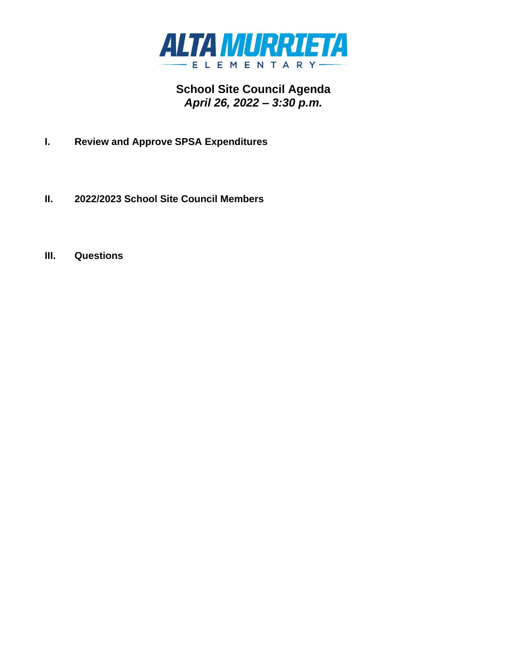

# **School Site Council Agenda** *April 26, 2022 – 3:30 p.m.*

- **I. Review and Approve SPSA Expenditures**
- **II. 2022/2023 School Site Council Members**
- **III. Questions**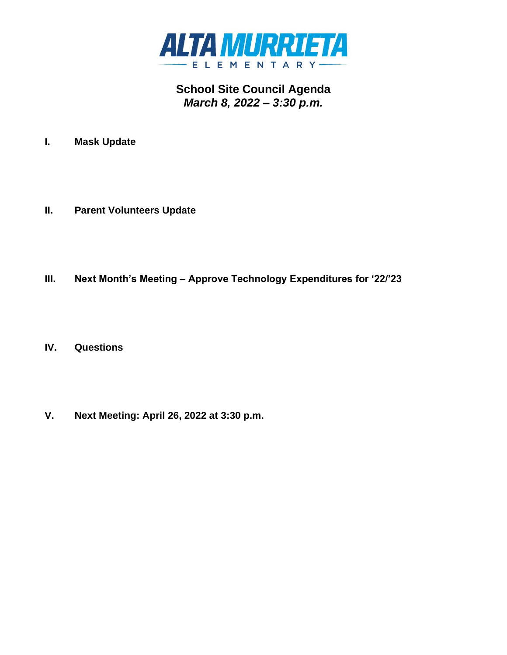

## **School Site Council Agenda** *March 8, 2022 – 3:30 p.m.*

- **I. Mask Update**
- **II. Parent Volunteers Update**
- **III. Next Month's Meeting – Approve Technology Expenditures for '22/'23**
- **IV. Questions**
- **V. Next Meeting: April 26, 2022 at 3:30 p.m.**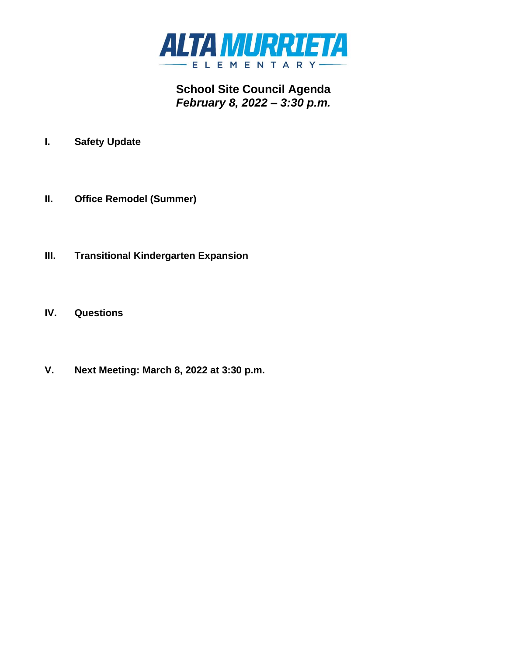

**School Site Council Agenda** *February 8, 2022 – 3:30 p.m.*

- **I. Safety Update**
- **II. Office Remodel (Summer)**
- **III. Transitional Kindergarten Expansion**
- **IV. Questions**
- **V. Next Meeting: March 8, 2022 at 3:30 p.m.**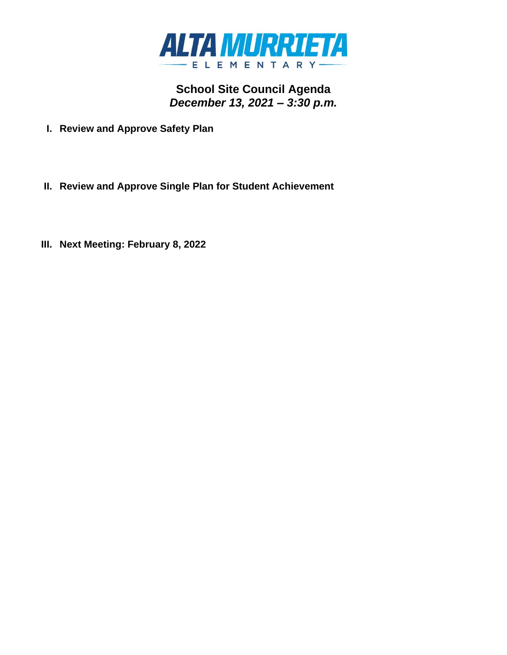

**School Site Council Agenda** *December 13, 2021 – 3:30 p.m.*

- **I. Review and Approve Safety Plan**
- **II. Review and Approve Single Plan for Student Achievement**
- **III. Next Meeting: February 8, 2022**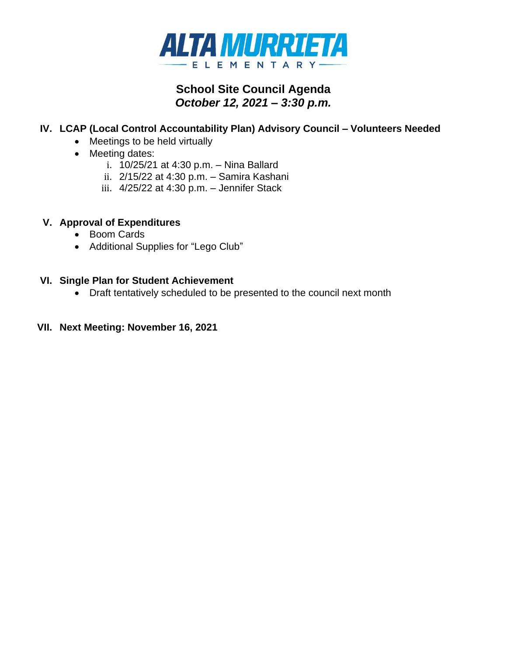

## **School Site Council Agenda** *October 12, 2021 – 3:30 p.m.*

## **IV. LCAP (Local Control Accountability Plan) Advisory Council – Volunteers Needed**

- Meetings to be held virtually
- Meeting dates:
	- i. 10/25/21 at 4:30 p.m. Nina Ballard
	- ii. 2/15/22 at 4:30 p.m. Samira Kashani
	- iii. 4/25/22 at 4:30 p.m. Jennifer Stack

### **V. Approval of Expenditures**

- Boom Cards
- Additional Supplies for "Lego Club"

#### **VI. Single Plan for Student Achievement**

• Draft tentatively scheduled to be presented to the council next month

### **VII. Next Meeting: November 16, 2021**